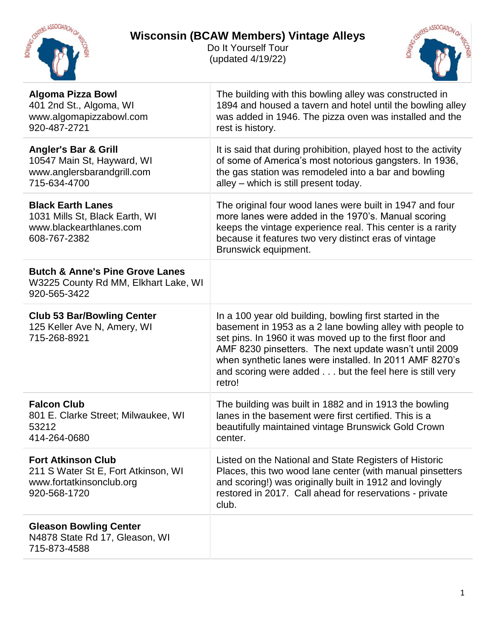| <b>Wisconsin (BCAW Members) Vintage Alleys</b> |  |  |
|------------------------------------------------|--|--|
|                                                |  |  |



Do It Yourself Tour (updated 4/19/22)



| The building with this bowling alley was constructed in<br>1894 and housed a tavern and hotel until the bowling alley<br>was added in 1946. The pizza oven was installed and the<br>rest is history.                                                                                                                                                                       |
|----------------------------------------------------------------------------------------------------------------------------------------------------------------------------------------------------------------------------------------------------------------------------------------------------------------------------------------------------------------------------|
| It is said that during prohibition, played host to the activity<br>of some of America's most notorious gangsters. In 1936,<br>the gas station was remodeled into a bar and bowling<br>alley – which is still present today.                                                                                                                                                |
| The original four wood lanes were built in 1947 and four<br>more lanes were added in the 1970's. Manual scoring<br>keeps the vintage experience real. This center is a rarity<br>because it features two very distinct eras of vintage<br>Brunswick equipment.                                                                                                             |
|                                                                                                                                                                                                                                                                                                                                                                            |
| In a 100 year old building, bowling first started in the<br>basement in 1953 as a 2 lane bowling alley with people to<br>set pins. In 1960 it was moved up to the first floor and<br>AMF 8230 pinsetters. The next update wasn't until 2009<br>when synthetic lanes were installed. In 2011 AMF 8270's<br>and scoring were added but the feel here is still very<br>retro! |
| The building was built in 1882 and in 1913 the bowling<br>lanes in the basement were first certified. This is a<br>beautifully maintained vintage Brunswick Gold Crown<br>center.                                                                                                                                                                                          |
| Listed on the National and State Registers of Historic<br>Places, this two wood lane center (with manual pinsetters<br>and scoring!) was originally built in 1912 and lovingly<br>restored in 2017. Call ahead for reservations - private<br>club.                                                                                                                         |
|                                                                                                                                                                                                                                                                                                                                                                            |
|                                                                                                                                                                                                                                                                                                                                                                            |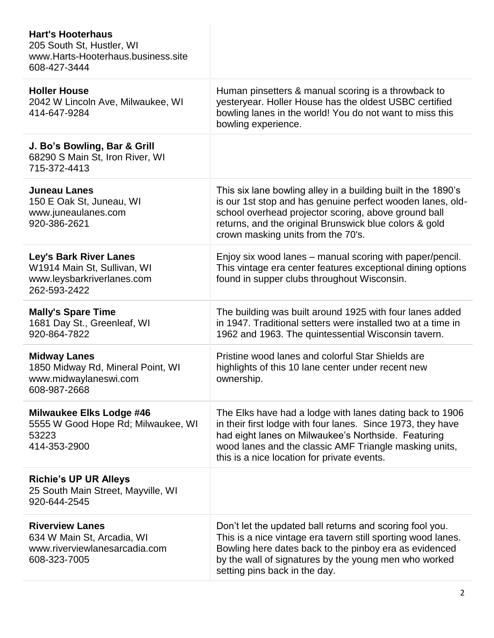| <b>Hart's Hooterhaus</b><br>205 South St, Hustler, WI<br>www.Harts-Hooterhaus.business.site<br>608-427-3444 |                                                                                                                                                                                                                                                                                         |
|-------------------------------------------------------------------------------------------------------------|-----------------------------------------------------------------------------------------------------------------------------------------------------------------------------------------------------------------------------------------------------------------------------------------|
| <b>Holler House</b><br>2042 W Lincoln Ave, Milwaukee, WI<br>414-647-9284                                    | Human pinsetters & manual scoring is a throwback to<br>yesteryear. Holler House has the oldest USBC certified<br>bowling lanes in the world! You do not want to miss this<br>bowling experience.                                                                                        |
| J. Bo's Bowling, Bar & Grill<br>68290 S Main St, Iron River, WI<br>715-372-4413                             |                                                                                                                                                                                                                                                                                         |
| <b>Juneau Lanes</b><br>150 E Oak St, Juneau, WI<br>www.juneaulanes.com<br>920-386-2621                      | This six lane bowling alley in a building built in the 1890's<br>is our 1st stop and has genuine perfect wooden lanes, old-<br>school overhead projector scoring, above ground ball<br>returns, and the original Brunswick blue colors & gold<br>crown masking units from the 70's.     |
| <b>Ley's Bark River Lanes</b><br>W1914 Main St, Sullivan, WI<br>www.leysbarkriverlanes.com<br>262-593-2422  | Enjoy six wood lanes – manual scoring with paper/pencil.<br>This vintage era center features exceptional dining options<br>found in supper clubs throughout Wisconsin.                                                                                                                  |
| <b>Mally's Spare Time</b><br>1681 Day St., Greenleaf, WI<br>920-864-7822                                    | The building was built around 1925 with four lanes added<br>in 1947. Traditional setters were installed two at a time in<br>1962 and 1963. The quintessential Wisconsin tavern.                                                                                                         |
| <b>Midway Lanes</b><br>1850 Midway Rd, Mineral Point, WI<br>www.midwaylaneswi.com<br>608-987-2668           | Pristine wood lanes and colorful Star Shields are<br>highlights of this 10 lane center under recent new<br>ownership.                                                                                                                                                                   |
| <b>Milwaukee Elks Lodge #46</b><br>5555 W Good Hope Rd; Milwaukee, WI<br>53223<br>414-353-2900              | The Elks have had a lodge with lanes dating back to 1906<br>in their first lodge with four lanes. Since 1973, they have<br>had eight lanes on Milwaukee's Northside. Featuring<br>wood lanes and the classic AMF Triangle masking units,<br>this is a nice location for private events. |
| <b>Richie's UP UR Alleys</b><br>25 South Main Street, Mayville, WI<br>920-644-2545                          |                                                                                                                                                                                                                                                                                         |
| <b>Riverview Lanes</b><br>634 W Main St, Arcadia, WI<br>www.riverviewlanesarcadia.com<br>608-323-7005       | Don't let the updated ball returns and scoring fool you.<br>This is a nice vintage era tavern still sporting wood lanes.<br>Bowling here dates back to the pinboy era as evidenced<br>by the wall of signatures by the young men who worked<br>setting pins back in the day.            |